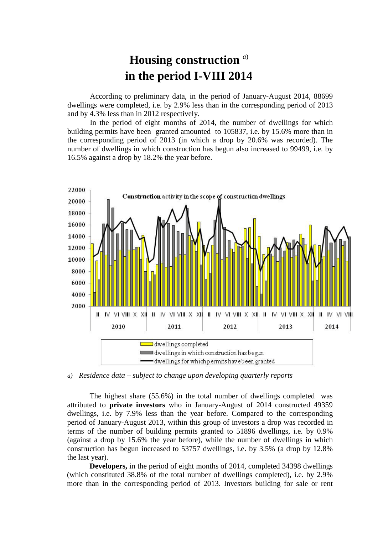## **Housing construction** *<sup>a</sup>*) **in the period I-VIII 2014**

According to preliminary data, in the period of January-August 2014, 88699 dwellings were completed, i.e. by 2.9% less than in the corresponding period of 2013 and by 4.3% less than in 2012 respectively.

In the period of eight months of 2014, the number of dwellings for which building permits have been granted amounted to 105837, i.e. by 15.6% more than in the corresponding period of 2013 (in which a drop by 20.6% was recorded). The number of dwellings in which construction has begun also increased to 99499, i.e. by 16.5% against a drop by 18.2% the year before.



*a) Residence data – subject to change upon developing quarterly reports*

The highest share (55.6%) in the total number of dwellings completed was attributed to **private investors** who in January-August of 2014 constructed 49359 dwellings, i.e. by 7.9% less than the year before. Compared to the corresponding period of January-August 2013, within this group of investors a drop was recorded in terms of the number of building permits granted to 51896 dwellings, i.e. by 0.9% (against a drop by 15.6% the year before), while the number of dwellings in which construction has begun increased to 53757 dwellings, i.e. by 3.5% (a drop by 12.8% the last year).

**Developers,** in the period of eight months of 2014, completed 34398 dwellings (which constituted 38.8% of the total number of dwellings completed), i.e. by 2.9% more than in the corresponding period of 2013. Investors building for sale or rent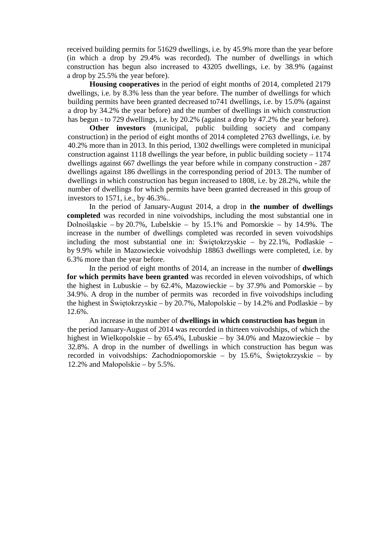received building permits for 51629 dwellings, i.e. by 45.9% more than the year before (in which a drop by 29.4% was recorded). The number of dwellings in which construction has begun also increased to 43205 dwellings, i.e. by 38.9% (against a drop by 25.5% the year before).

**Housing cooperatives** in the period of eight months of 2014, completed 2179 dwellings, i.e. by 8.3% less than the year before. The number of dwellings for which building permits have been granted decreased to741 dwellings, i.e. by 15.0% (against a drop by 34.2% the year before) and the number of dwellings in which construction has begun - to 729 dwellings, i.e. by 20.2% (against a drop by 47.2% the year before).

**Other investors** (municipal, public building society and company construction) in the period of eight months of 2014 completed 2763 dwellings, i.e. by 40.2% more than in 2013. In this period, 1302 dwellings were completed in municipal construction against  $1118$  dwellings the year before, in public building society –  $1174$ dwellings against 667 dwellings the year before while in company construction - 287 dwellings against 186 dwellings in the corresponding period of 2013. The number of dwellings in which construction has begun increased to 1808, i.e. by 28.2%, while the number of dwellings for which permits have been granted decreased in this group of investors to 1571, i.e., by 46.3%..

In the period of January-August 2014, a drop in **the number of dwellings completed** was recorded in nine voivodships, including the most substantial one in Dolnośląskie – by 20.7%, Lubelskie – by 15.1% and Pomorskie – by 14.9%. The increase in the number of dwellings completed was recorded in seven voivodships including the most substantial one in: Świętokrzyskie – by 22.1%, Podlaskie – by 9.9% while in Mazowieckie voivodship 18863 dwellings were completed, i.e. by 6.3% more than the year before.

In the period of eight months of 2014, an increase in the number of **dwellings for which permits have been granted** was recorded in eleven voivodships, of which the highest in Lubuskie – by  $62.4\%$ , Mazowieckie – by 37.9% and Pomorskie – by 34.9%. A drop in the number of permits was recorded in five voivodships including the highest in Świętokrzyskie – by 20.7%, Małopolskie – by 14.2% and Podlaskie – by 12.6%.

An increase in the number of **dwellings in which construction has begun** in the period January-August of 2014 was recorded in thirteen voivodships, of which the highest in Wielkopolskie – by 65.4%, Lubuskie – by 34.0% and Mazowieckie – by 32.8%. A drop in the number of dwellings in which construction has begun was recorded in voivodships: Zachodniopomorskie – by 15.6%, Świętokrzyskie – by 12.2% and Małopolskie – by 5.5%.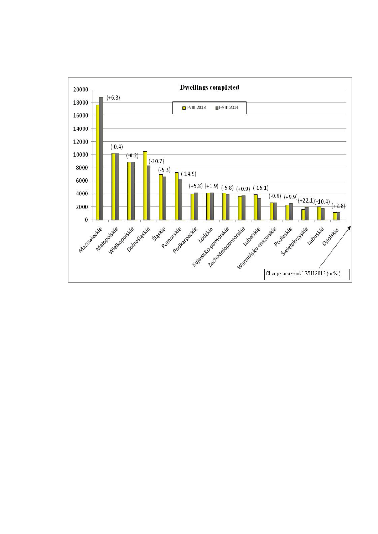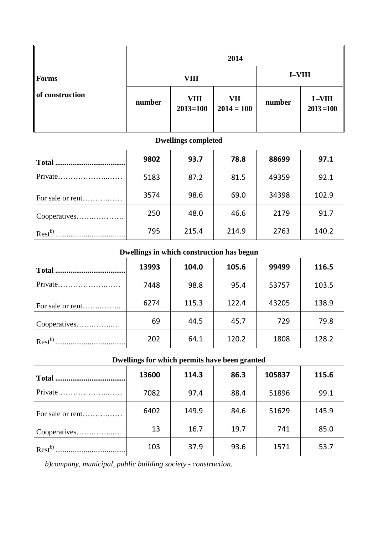|                                               | 2014        |                             |                     |               |                          |
|-----------------------------------------------|-------------|-----------------------------|---------------------|---------------|--------------------------|
| <b>Forms</b>                                  | <b>VIII</b> |                             |                     | <b>I-VIII</b> |                          |
| of construction                               | number      | <b>VIII</b><br>$2013 = 100$ | VII<br>$2014 = 100$ | number        | $I-VIII$<br>$2013 = 100$ |
| <b>Dwellings completed</b>                    |             |                             |                     |               |                          |
|                                               | 9802        | 93.7                        | 78.8                | 88699         | 97.1                     |
| Private                                       | 5183        | 87.2                        | 81.5                | 49359         | 92.1                     |
| For sale or rent                              | 3574        | 98.6                        | 69.0                | 34398         | 102.9                    |
| Cooperatives                                  | 250         | 48.0                        | 46.6                | 2179          | 91.7                     |
|                                               | 795         | 215.4                       | 214.9               | 2763          | 140.2                    |
| Dwellings in which construction has begun     |             |                             |                     |               |                          |
|                                               | 13993       | 104.0                       | 105.6               | 99499         | 116.5                    |
| Private                                       | 7448        | 98.8                        | 95.4                | 53757         | 103.5                    |
| For sale or rent                              | 6274        | 115.3                       | 122.4               | 43205         | 138.9                    |
| Cooperatives                                  | 69          | 44.5                        | 45.7                | 729           | 79.8                     |
|                                               | 202         | 64.1                        | 120.2               | 1808          | 128.2                    |
| Dwellings for which permits have been granted |             |                             |                     |               |                          |
|                                               | 13600       | 114.3                       | 86.3                | 105837        | 115.6                    |
| Private                                       | 7082        | 97.4                        | 88.4                | 51896         | 99.1                     |
| For sale or rent                              | 6402        | 149.9                       | 84.6                | 51629         | 145.9                    |
| Cooperatives                                  | 13          | 16.7                        | 19.7                | 741           | 85.0                     |
|                                               | 103         | 37.9                        | 93.6                | 1571          | 53.7                     |

*b)company, municipal, public building society - construction.*